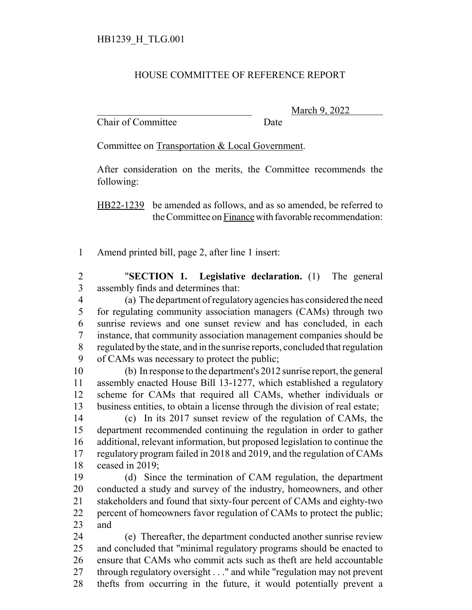## HOUSE COMMITTEE OF REFERENCE REPORT

Chair of Committee Date

March 9, 2022

Committee on Transportation & Local Government.

After consideration on the merits, the Committee recommends the following:

HB22-1239 be amended as follows, and as so amended, be referred to the Committee on Finance with favorable recommendation:

Amend printed bill, page 2, after line 1 insert:

 "**SECTION 1. Legislative declaration.** (1) The general assembly finds and determines that:

 (a) The department of regulatory agencies has considered the need for regulating community association managers (CAMs) through two sunrise reviews and one sunset review and has concluded, in each instance, that community association management companies should be regulated by the state, and in the sunrise reports, concluded that regulation of CAMs was necessary to protect the public;

 (b) In response to the department's 2012 sunrise report, the general assembly enacted House Bill 13-1277, which established a regulatory scheme for CAMs that required all CAMs, whether individuals or business entities, to obtain a license through the division of real estate;

 (c) In its 2017 sunset review of the regulation of CAMs, the department recommended continuing the regulation in order to gather additional, relevant information, but proposed legislation to continue the regulatory program failed in 2018 and 2019, and the regulation of CAMs ceased in 2019;

 (d) Since the termination of CAM regulation, the department conducted a study and survey of the industry, homeowners, and other stakeholders and found that sixty-four percent of CAMs and eighty-two percent of homeowners favor regulation of CAMs to protect the public; and

 (e) Thereafter, the department conducted another sunrise review and concluded that "minimal regulatory programs should be enacted to ensure that CAMs who commit acts such as theft are held accountable through regulatory oversight . . ." and while "regulation may not prevent thefts from occurring in the future, it would potentially prevent a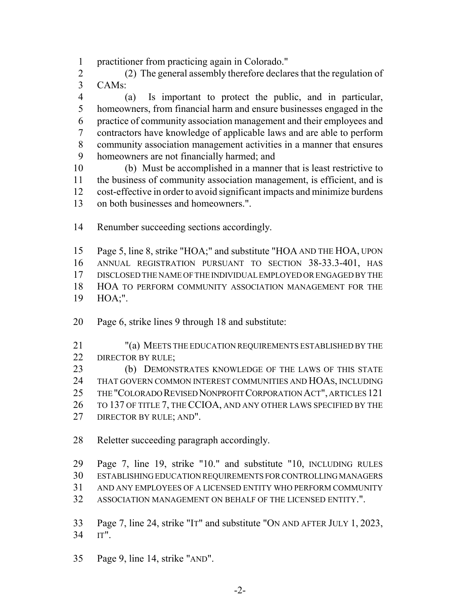practitioner from practicing again in Colorado."

 (2) The general assembly therefore declares that the regulation of CAMs:

 (a) Is important to protect the public, and in particular, homeowners, from financial harm and ensure businesses engaged in the practice of community association management and their employees and contractors have knowledge of applicable laws and are able to perform community association management activities in a manner that ensures homeowners are not financially harmed; and

 (b) Must be accomplished in a manner that is least restrictive to the business of community association management, is efficient, and is cost-effective in order to avoid significant impacts and minimize burdens on both businesses and homeowners.".

Renumber succeeding sections accordingly.

 Page 5, line 8, strike "HOA;" and substitute "HOA AND THE HOA, UPON ANNUAL REGISTRATION PURSUANT TO SECTION 38-33.3-401, HAS DISCLOSED THE NAME OF THE INDIVIDUAL EMPLOYED OR ENGAGED BY THE HOA TO PERFORM COMMUNITY ASSOCIATION MANAGEMENT FOR THE HOA;".

- Page 6, strike lines 9 through 18 and substitute:
- "(a) MEETS THE EDUCATION REQUIREMENTS ESTABLISHED BY THE 22 DIRECTOR BY RULE;

 (b) DEMONSTRATES KNOWLEDGE OF THE LAWS OF THIS STATE THAT GOVERN COMMON INTEREST COMMUNITIES AND HOAS, INCLUDING THE "COLORADO REVISED NONPROFIT CORPORATION ACT", ARTICLES 121 26 TO 137 OF TITLE 7, THE CCIOA, AND ANY OTHER LAWS SPECIFIED BY THE

27 DIRECTOR BY RULE; AND".

Reletter succeeding paragraph accordingly.

 Page 7, line 19, strike "10." and substitute "10, INCLUDING RULES ESTABLISHING EDUCATION REQUIREMENTS FOR CONTROLLING MANAGERS

AND ANY EMPLOYEES OF A LICENSED ENTITY WHO PERFORM COMMUNITY

ASSOCIATION MANAGEMENT ON BEHALF OF THE LICENSED ENTITY.".

 Page 7, line 24, strike "IT" and substitute "ON AND AFTER JULY 1, 2023, IT".

Page 9, line 14, strike "AND".